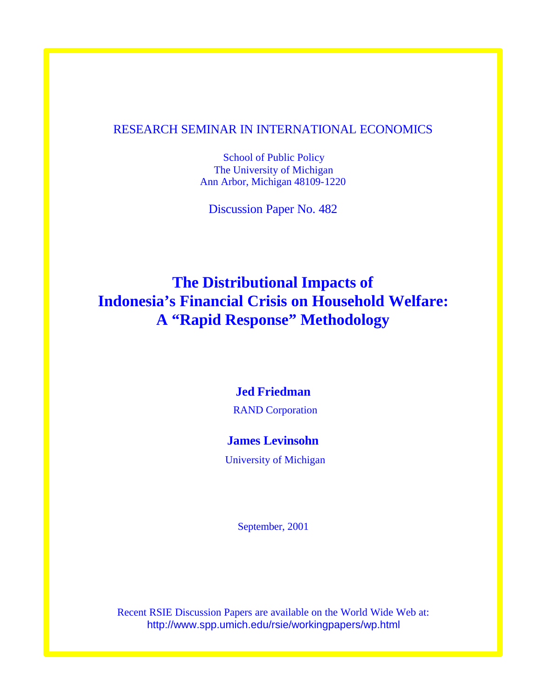# RESEARCH SEMINAR IN INTERNATIONAL ECONOMICS

School of Public Policy The University of Michigan Ann Arbor, Michigan 48109-1220

Discussion Paper No. 482

# **The Distributional Impacts of Indonesia's Financial Crisis on Household Welfare: A "Rapid Response" Methodology**

# **Jed Friedman**

RAND Corporation

# **James Levinsohn**

University of Michigan

September, 2001

Recent RSIE Discussion Papers are available on the World Wide Web at: http://www.spp.umich.edu/rsie/workingpapers/wp.html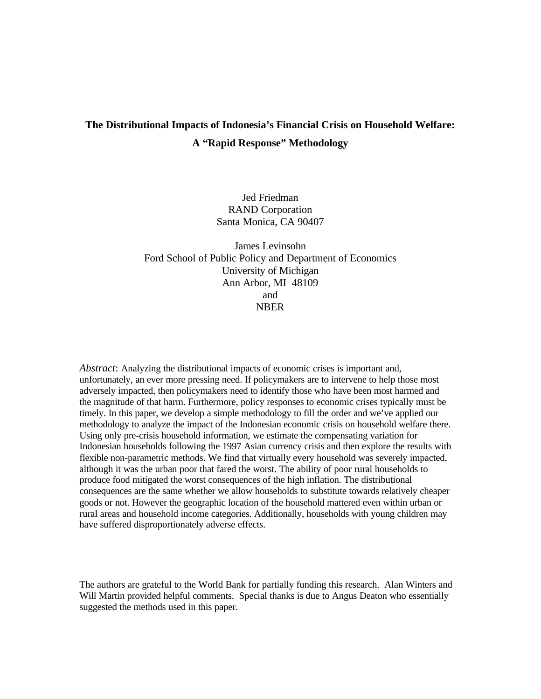# **The Distributional Impacts of Indonesia's Financial Crisis on Household Welfare: A "Rapid Response" Methodology**

Jed Friedman RAND Corporation Santa Monica, CA 90407

James Levinsohn Ford School of Public Policy and Department of Economics University of Michigan Ann Arbor, MI 48109 and NBER

*Abstract*: Analyzing the distributional impacts of economic crises is important and, unfortunately, an ever more pressing need. If policymakers are to intervene to help those most adversely impacted, then policymakers need to identify those who have been most harmed and the magnitude of that harm. Furthermore, policy responses to economic crises typically must be timely. In this paper, we develop a simple methodology to fill the order and we've applied our methodology to analyze the impact of the Indonesian economic crisis on household welfare there. Using only pre-crisis household information, we estimate the compensating variation for Indonesian households following the 1997 Asian currency crisis and then explore the results with flexible non-parametric methods. We find that virtually every household was severely impacted, although it was the urban poor that fared the worst. The ability of poor rural households to produce food mitigated the worst consequences of the high inflation. The distributional consequences are the same whether we allow households to substitute towards relatively cheaper goods or not. However the geographic location of the household mattered even within urban or rural areas and household income categories. Additionally, households with young children may have suffered disproportionately adverse effects.

The authors are grateful to the World Bank for partially funding this research. Alan Winters and Will Martin provided helpful comments. Special thanks is due to Angus Deaton who essentially suggested the methods used in this paper.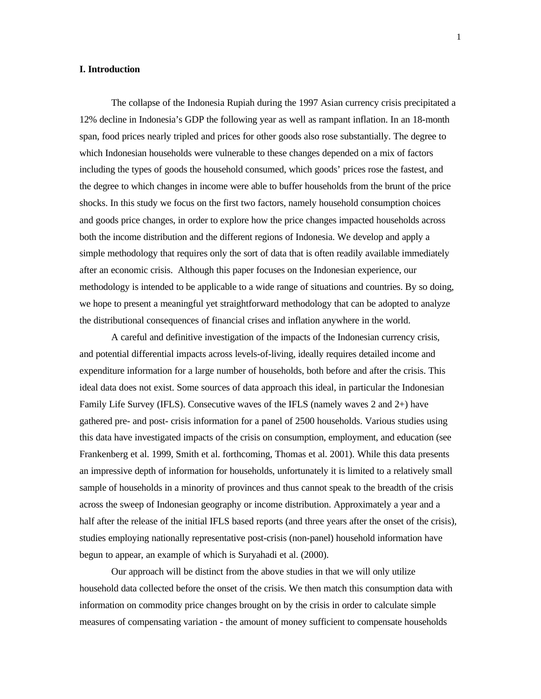## **I. Introduction**

The collapse of the Indonesia Rupiah during the 1997 Asian currency crisis precipitated a 12% decline in Indonesia's GDP the following year as well as rampant inflation. In an 18-month span, food prices nearly tripled and prices for other goods also rose substantially. The degree to which Indonesian households were vulnerable to these changes depended on a mix of factors including the types of goods the household consumed, which goods' prices rose the fastest, and the degree to which changes in income were able to buffer households from the brunt of the price shocks. In this study we focus on the first two factors, namely household consumption choices and goods price changes, in order to explore how the price changes impacted households across both the income distribution and the different regions of Indonesia. We develop and apply a simple methodology that requires only the sort of data that is often readily available immediately after an economic crisis. Although this paper focuses on the Indonesian experience, our methodology is intended to be applicable to a wide range of situations and countries. By so doing, we hope to present a meaningful yet straightforward methodology that can be adopted to analyze the distributional consequences of financial crises and inflation anywhere in the world.

A careful and definitive investigation of the impacts of the Indonesian currency crisis, and potential differential impacts across levels-of-living, ideally requires detailed income and expenditure information for a large number of households, both before and after the crisis. This ideal data does not exist. Some sources of data approach this ideal, in particular the Indonesian Family Life Survey (IFLS). Consecutive waves of the IFLS (namely waves 2 and 2+) have gathered pre- and post- crisis information for a panel of 2500 households. Various studies using this data have investigated impacts of the crisis on consumption, employment, and education (see Frankenberg et al. 1999, Smith et al. forthcoming, Thomas et al. 2001). While this data presents an impressive depth of information for households, unfortunately it is limited to a relatively small sample of households in a minority of provinces and thus cannot speak to the breadth of the crisis across the sweep of Indonesian geography or income distribution. Approximately a year and a half after the release of the initial IFLS based reports (and three years after the onset of the crisis), studies employing nationally representative post-crisis (non-panel) household information have begun to appear, an example of which is Suryahadi et al. (2000).

Our approach will be distinct from the above studies in that we will only utilize household data collected before the onset of the crisis. We then match this consumption data with information on commodity price changes brought on by the crisis in order to calculate simple measures of compensating variation - the amount of money sufficient to compensate households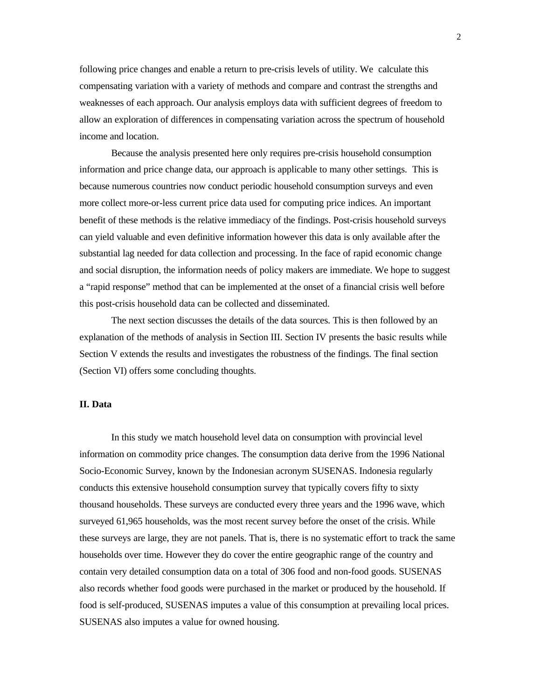following price changes and enable a return to pre-crisis levels of utility. We calculate this compensating variation with a variety of methods and compare and contrast the strengths and weaknesses of each approach. Our analysis employs data with sufficient degrees of freedom to allow an exploration of differences in compensating variation across the spectrum of household income and location.

Because the analysis presented here only requires pre-crisis household consumption information and price change data, our approach is applicable to many other settings. This is because numerous countries now conduct periodic household consumption surveys and even more collect more-or-less current price data used for computing price indices. An important benefit of these methods is the relative immediacy of the findings. Post-crisis household surveys can yield valuable and even definitive information however this data is only available after the substantial lag needed for data collection and processing. In the face of rapid economic change and social disruption, the information needs of policy makers are immediate. We hope to suggest a "rapid response" method that can be implemented at the onset of a financial crisis well before this post-crisis household data can be collected and disseminated.

The next section discusses the details of the data sources. This is then followed by an explanation of the methods of analysis in Section III. Section IV presents the basic results while Section V extends the results and investigates the robustness of the findings. The final section (Section VI) offers some concluding thoughts.

# **II. Data**

In this study we match household level data on consumption with provincial level information on commodity price changes. The consumption data derive from the 1996 National Socio-Economic Survey, known by the Indonesian acronym SUSENAS. Indonesia regularly conducts this extensive household consumption survey that typically covers fifty to sixty thousand households. These surveys are conducted every three years and the 1996 wave, which surveyed 61,965 households, was the most recent survey before the onset of the crisis. While these surveys are large, they are not panels. That is, there is no systematic effort to track the same households over time. However they do cover the entire geographic range of the country and contain very detailed consumption data on a total of 306 food and non-food goods. SUSENAS also records whether food goods were purchased in the market or produced by the household. If food is self-produced, SUSENAS imputes a value of this consumption at prevailing local prices. SUSENAS also imputes a value for owned housing.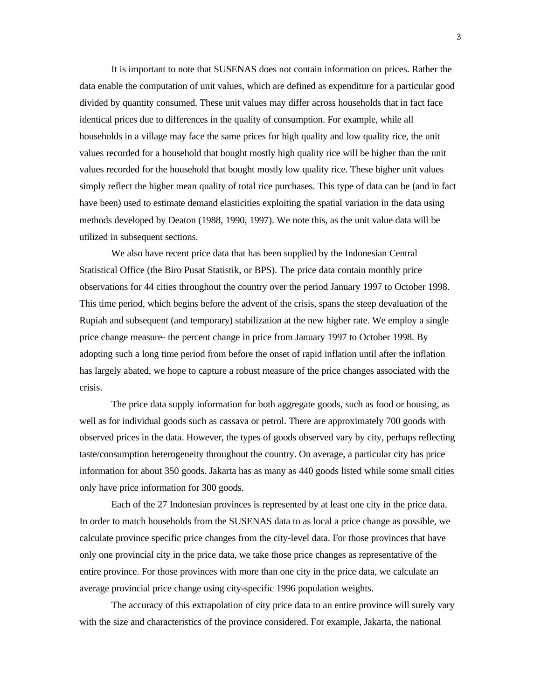It is important to note that SUSENAS does not contain information on prices. Rather the data enable the computation of unit values, which are defined as expenditure for a particular good divided by quantity consumed. These unit values may differ across households that in fact face identical prices due to differences in the quality of consumption. For example, while all households in a village may face the same prices for high quality and low quality rice, the unit values recorded for a household that bought mostly high quality rice will be higher than the unit values recorded for the household that bought mostly low quality rice. These higher unit values simply reflect the higher mean quality of total rice purchases. This type of data can be (and in fact have been) used to estimate demand elasticities exploiting the spatial variation in the data using methods developed by Deaton (1988, 1990, 1997). We note this, as the unit value data will be utilized in subsequent sections.

We also have recent price data that has been supplied by the Indonesian Central Statistical Office (the Biro Pusat Statistik, or BPS). The price data contain monthly price observations for 44 cities throughout the country over the period January 1997 to October 1998. This time period, which begins before the advent of the crisis, spans the steep devaluation of the Rupiah and subsequent (and temporary) stabilization at the new higher rate. We employ a single price change measure- the percent change in price from January 1997 to October 1998. By adopting such a long time period from before the onset of rapid inflation until after the inflation has largely abated, we hope to capture a robust measure of the price changes associated with the crisis.

The price data supply information for both aggregate goods, such as food or housing, as well as for individual goods such as cassava or petrol. There are approximately 700 goods with observed prices in the data. However, the types of goods observed vary by city, perhaps reflecting taste/consumption heterogeneity throughout the country. On average, a particular city has price information for about 350 goods. Jakarta has as many as 440 goods listed while some small cities only have price information for 300 goods.

Each of the 27 Indonesian provinces is represented by at least one city in the price data. In order to match households from the SUSENAS data to as local a price change as possible, we calculate province specific price changes from the city-level data. For those provinces that have only one provincial city in the price data, we take those price changes as representative of the entire province. For those provinces with more than one city in the price data, we calculate an average provincial price change using city-specific 1996 population weights.

The accuracy of this extrapolation of city price data to an entire province will surely vary with the size and characteristics of the province considered. For example, Jakarta, the national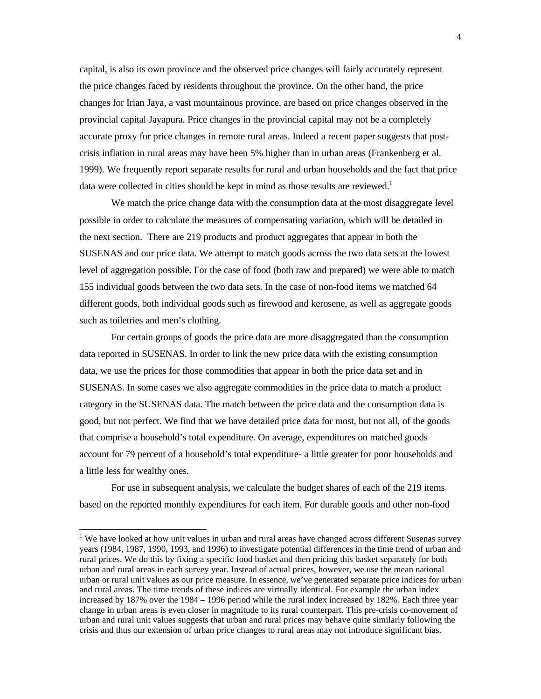capital, is also its own province and the observed price changes will fairly accurately represent the price changes faced by residents throughout the province. On the other hand, the price changes for Irian Jaya, a vast mountainous province, are based on price changes observed in the provincial capital Jayapura. Price changes in the provincial capital may not be a completely accurate proxy for price changes in remote rural areas. Indeed a recent paper suggests that postcrisis inflation in rural areas may have been 5% higher than in urban areas (Frankenberg et al. 1999). We frequently report separate results for rural and urban households and the fact that price data were collected in cities should be kept in mind as those results are reviewed.<sup>1</sup>

We match the price change data with the consumption data at the most disaggregate level possible in order to calculate the measures of compensating variation, which will be detailed in the next section. There are 219 products and product aggregates that appear in both the SUSENAS and our price data. We attempt to match goods across the two data sets at the lowest level of aggregation possible. For the case of food (both raw and prepared) we were able to match 155 individual goods between the two data sets. In the case of non-food items we matched 64 different goods, both individual goods such as firewood and kerosene, as well as aggregate goods such as toiletries and men's clothing.

For certain groups of goods the price data are more disaggregated than the consumption data reported in SUSENAS. In order to link the new price data with the existing consumption data, we use the prices for those commodities that appear in both the price data set and in SUSENAS. In some cases we also aggregate commodities in the price data to match a product category in the SUSENAS data. The match between the price data and the consumption data is good, but not perfect. We find that we have detailed price data for most, but not all, of the goods that comprise a household's total expenditure. On average, expenditures on matched goods account for 79 percent of a household's total expenditure- a little greater for poor households and a little less for wealthy ones.

For use in subsequent analysis, we calculate the budget shares of each of the 219 items based on the reported monthly expenditures for each item. For durable goods and other non-food

 $\overline{\phantom{a}}$ 

<sup>&</sup>lt;sup>1</sup> We have looked at how unit values in urban and rural areas have changed across different Susenas survey years (1984, 1987, 1990, 1993, and 1996) to investigate potential differences in the time trend of urban and rural prices. We do this by fixing a specific food basket and then pricing this basket separately for both urban and rural areas in each survey year. Instead of actual prices, however, we use the mean national urban or rural unit values as our price measure. In essence, we've generated separate price indices for urban and rural areas. The time trends of these indices are virtually identical. For example the urban index increased by 187% over the 1984 – 1996 period while the rural index increased by 182%. Each three year change in urban areas is even closer in magnitude to its rural counterpart. This pre-crisis co-movement of urban and rural unit values suggests that urban and rural prices may behave quite similarly following the crisis and thus our extension of urban price changes to rural areas may not introduce significant bias.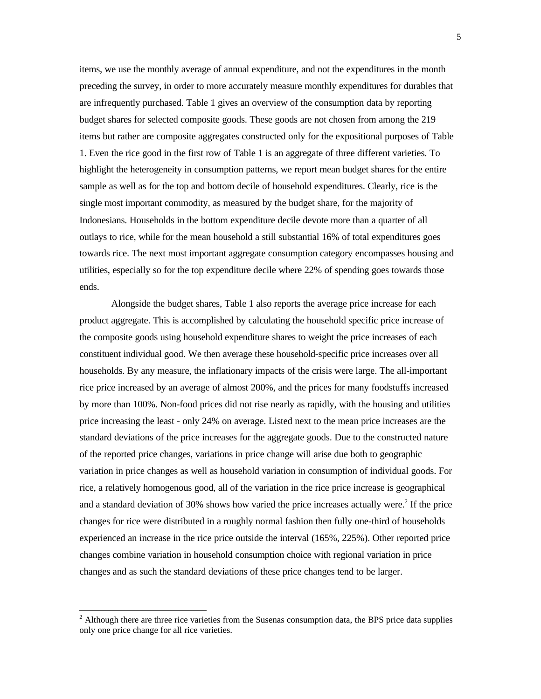items, we use the monthly average of annual expenditure, and not the expenditures in the month preceding the survey, in order to more accurately measure monthly expenditures for durables that are infrequently purchased. Table 1 gives an overview of the consumption data by reporting budget shares for selected composite goods. These goods are not chosen from among the 219 items but rather are composite aggregates constructed only for the expositional purposes of Table 1. Even the rice good in the first row of Table 1 is an aggregate of three different varieties. To highlight the heterogeneity in consumption patterns, we report mean budget shares for the entire sample as well as for the top and bottom decile of household expenditures. Clearly, rice is the single most important commodity, as measured by the budget share, for the majority of Indonesians. Households in the bottom expenditure decile devote more than a quarter of all outlays to rice, while for the mean household a still substantial 16% of total expenditures goes towards rice. The next most important aggregate consumption category encompasses housing and utilities, especially so for the top expenditure decile where 22% of spending goes towards those ends.

Alongside the budget shares, Table 1 also reports the average price increase for each product aggregate. This is accomplished by calculating the household specific price increase of the composite goods using household expenditure shares to weight the price increases of each constituent individual good. We then average these household-specific price increases over all households. By any measure, the inflationary impacts of the crisis were large. The all-important rice price increased by an average of almost 200%, and the prices for many foodstuffs increased by more than 100%. Non-food prices did not rise nearly as rapidly, with the housing and utilities price increasing the least - only 24% on average. Listed next to the mean price increases are the standard deviations of the price increases for the aggregate goods. Due to the constructed nature of the reported price changes, variations in price change will arise due both to geographic variation in price changes as well as household variation in consumption of individual goods. For rice, a relatively homogenous good, all of the variation in the rice price increase is geographical and a standard deviation of 30% shows how varied the price increases actually were.<sup>2</sup> If the price changes for rice were distributed in a roughly normal fashion then fully one-third of households experienced an increase in the rice price outside the interval (165%, 225%). Other reported price changes combine variation in household consumption choice with regional variation in price changes and as such the standard deviations of these price changes tend to be larger.

 $\overline{\phantom{a}}$ 

 $2$  Although there are three rice varieties from the Susenas consumption data, the BPS price data supplies only one price change for all rice varieties.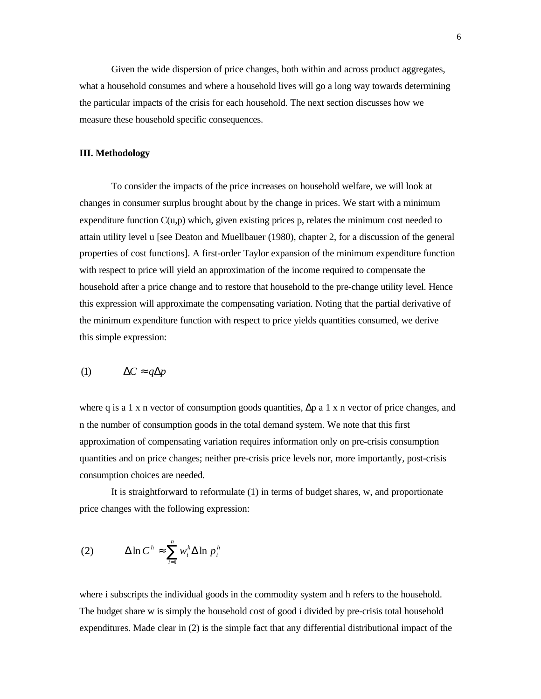Given the wide dispersion of price changes, both within and across product aggregates, what a household consumes and where a household lives will go a long way towards determining the particular impacts of the crisis for each household. The next section discusses how we measure these household specific consequences.

#### **III. Methodology**

To consider the impacts of the price increases on household welfare, we will look at changes in consumer surplus brought about by the change in prices. We start with a minimum expenditure function  $C(u,p)$  which, given existing prices p, relates the minimum cost needed to attain utility level u [see Deaton and Muellbauer (1980), chapter 2, for a discussion of the general properties of cost functions]. A first-order Taylor expansion of the minimum expenditure function with respect to price will yield an approximation of the income required to compensate the household after a price change and to restore that household to the pre-change utility level. Hence this expression will approximate the compensating variation. Noting that the partial derivative of the minimum expenditure function with respect to price yields quantities consumed, we derive this simple expression:

$$
(1) \qquad \Delta C \approx q \Delta p
$$

where q is a 1 x n vector of consumption goods quantities,  $\Delta p$  a 1 x n vector of price changes, and n the number of consumption goods in the total demand system. We note that this first approximation of compensating variation requires information only on pre-crisis consumption quantities and on price changes; neither pre-crisis price levels nor, more importantly, post-crisis consumption choices are needed.

It is straightforward to reformulate (1) in terms of budget shares, w, and proportionate price changes with the following expression:

(2) 
$$
\Delta \ln C^h \approx \sum_{i=1}^n w_i^h \Delta \ln p_i^h
$$

where i subscripts the individual goods in the commodity system and h refers to the household. The budget share w is simply the household cost of good i divided by pre-crisis total household expenditures. Made clear in (2) is the simple fact that any differential distributional impact of the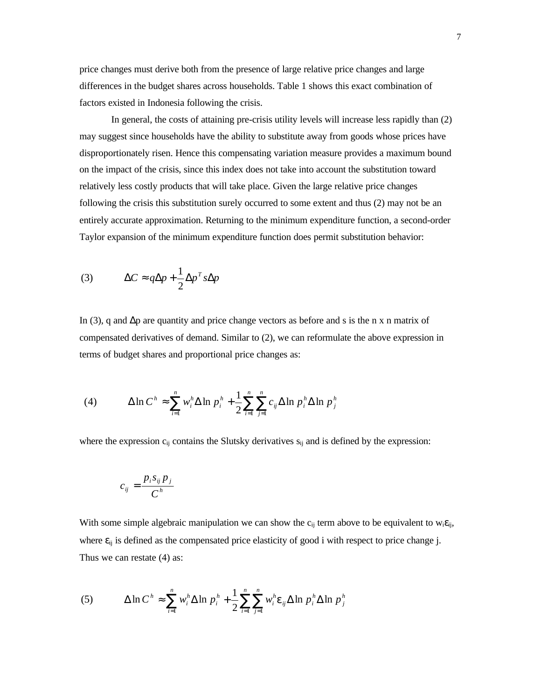price changes must derive both from the presence of large relative price changes and large differences in the budget shares across households. Table 1 shows this exact combination of factors existed in Indonesia following the crisis.

In general, the costs of attaining pre-crisis utility levels will increase less rapidly than (2) may suggest since households have the ability to substitute away from goods whose prices have disproportionately risen. Hence this compensating variation measure provides a maximum bound on the impact of the crisis, since this index does not take into account the substitution toward relatively less costly products that will take place. Given the large relative price changes following the crisis this substitution surely occurred to some extent and thus (2) may not be an entirely accurate approximation. Returning to the minimum expenditure function, a second-order Taylor expansion of the minimum expenditure function does permit substitution behavior:

(3) 
$$
\Delta C \approx q \Delta p + \frac{1}{2} \Delta p^T s \Delta p
$$

In (3), q and  $\Delta p$  are quantity and price change vectors as before and s is the n x n matrix of compensated derivatives of demand. Similar to (2), we can reformulate the above expression in terms of budget shares and proportional price changes as:

(4) 
$$
\Delta \ln C^{h} \approx \sum_{i=1}^{n} w_{i}^{h} \Delta \ln p_{i}^{h} + \frac{1}{2} \sum_{i=1}^{n} \sum_{j=1}^{n} c_{ij} \Delta \ln p_{i}^{h} \Delta \ln p_{j}^{h}
$$

where the expression  $c_{ij}$  contains the Slutsky derivatives  $s_{ij}$  and is defined by the expression:

$$
c_{ij} = \frac{p_i s_{ij} p_j}{C^h}
$$

With some simple algebraic manipulation we can show the  $c_{ij}$  term above to be equivalent to  $w_i \varepsilon_{ij}$ , where  $\varepsilon_{ij}$  is defined as the compensated price elasticity of good i with respect to price change j. Thus we can restate (4) as:

(5) 
$$
\Delta \ln C^{h} \approx \sum_{i=1}^{n} w_{i}^{h} \Delta \ln p_{i}^{h} + \frac{1}{2} \sum_{i=1}^{n} \sum_{j=1}^{n} w_{i}^{h} \Theta_{ij} \Delta \ln p_{i}^{h} \Delta \ln p_{j}^{h}
$$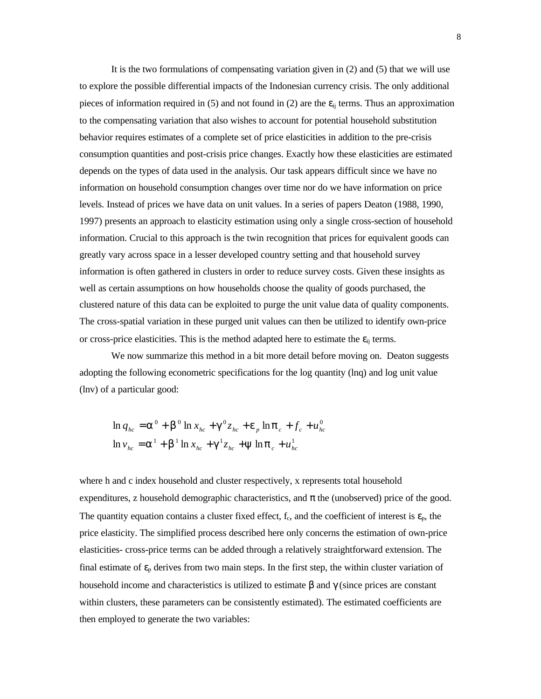It is the two formulations of compensating variation given in (2) and (5) that we will use to explore the possible differential impacts of the Indonesian currency crisis. The only additional pieces of information required in (5) and not found in (2) are the  $\varepsilon_{ii}$  terms. Thus an approximation to the compensating variation that also wishes to account for potential household substitution behavior requires estimates of a complete set of price elasticities in addition to the pre-crisis consumption quantities and post-crisis price changes. Exactly how these elasticities are estimated depends on the types of data used in the analysis. Our task appears difficult since we have no information on household consumption changes over time nor do we have information on price levels. Instead of prices we have data on unit values. In a series of papers Deaton (1988, 1990, 1997) presents an approach to elasticity estimation using only a single cross-section of household information. Crucial to this approach is the twin recognition that prices for equivalent goods can greatly vary across space in a lesser developed country setting and that household survey information is often gathered in clusters in order to reduce survey costs. Given these insights as well as certain assumptions on how households choose the quality of goods purchased, the clustered nature of this data can be exploited to purge the unit value data of quality components. The cross-spatial variation in these purged unit values can then be utilized to identify own-price or cross-price elasticities. This is the method adapted here to estimate the  $\varepsilon_{ij}$  terms.

We now summarize this method in a bit more detail before moving on. Deaton suggests adopting the following econometric specifications for the log quantity (lnq) and log unit value (lnv) of a particular good:

$$
\ln q_{hc} = a^0 + b^0 \ln x_{hc} + g^0 z_{hc} + e_p \ln p_c + f_c + u_{hc}^0
$$
  

$$
\ln v_{hc} = a^1 + b^1 \ln x_{hc} + g^1 z_{hc} + y \ln p_c + u_{hc}^1
$$

where h and c index household and cluster respectively, x represents total household expenditures, z household demographic characteristics, and  $\pi$  the (unobserved) price of the good. The quantity equation contains a cluster fixed effect,  $f_c$ , and the coefficient of interest is  $\varepsilon_p$ , the price elasticity. The simplified process described here only concerns the estimation of own-price elasticities- cross-price terms can be added through a relatively straightforward extension. The final estimate of  $\varepsilon_p$  derives from two main steps. In the first step, the within cluster variation of household income and characteristics is utilized to estimate  $\beta$  and  $\gamma$  (since prices are constant within clusters, these parameters can be consistently estimated). The estimated coefficients are then employed to generate the two variables: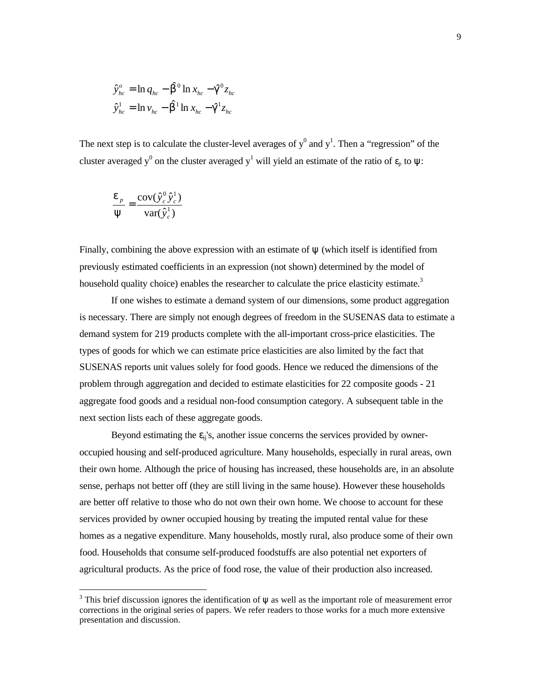$$
\hat{y}_{hc}^o = \ln q_{hc} - \hat{D}^0 \ln x_{hc} - \hat{G}^0 z_{hc}
$$
  

$$
\hat{y}_{hc}^1 = \ln v_{hc} - \hat{D}^1 \ln x_{hc} - \hat{G}^1 z_{hc}
$$

The next step is to calculate the cluster-level averages of  $y^0$  and  $y^1$ . Then a "regression" of the cluster averaged y<sup>0</sup> on the cluster averaged y<sup>1</sup> will yield an estimate of the ratio of  $\epsilon_p$  to  $\psi$ :

$$
\frac{\mathbf{e}_p}{\mathbf{y}} = \frac{\mathbf{cov}(\hat{\mathbf{y}}_c^0 \hat{\mathbf{y}}_c^1)}{\mathbf{var}(\hat{\mathbf{y}}_c^1)}
$$

-

Finally, combining the above expression with an estimate of  $\psi$  (which itself is identified from previously estimated coefficients in an expression (not shown) determined by the model of household quality choice) enables the researcher to calculate the price elasticity estimate.<sup>3</sup>

If one wishes to estimate a demand system of our dimensions, some product aggregation is necessary. There are simply not enough degrees of freedom in the SUSENAS data to estimate a demand system for 219 products complete with the all-important cross-price elasticities. The types of goods for which we can estimate price elasticities are also limited by the fact that SUSENAS reports unit values solely for food goods. Hence we reduced the dimensions of the problem through aggregation and decided to estimate elasticities for 22 composite goods - 21 aggregate food goods and a residual non-food consumption category. A subsequent table in the next section lists each of these aggregate goods.

Beyond estimating the  $\varepsilon_{ii}$ 's, another issue concerns the services provided by owneroccupied housing and self-produced agriculture. Many households, especially in rural areas, own their own home. Although the price of housing has increased, these households are, in an absolute sense, perhaps not better off (they are still living in the same house). However these households are better off relative to those who do not own their own home. We choose to account for these services provided by owner occupied housing by treating the imputed rental value for these homes as a negative expenditure. Many households, mostly rural, also produce some of their own food. Households that consume self-produced foodstuffs are also potential net exporters of agricultural products. As the price of food rose, the value of their production also increased.

<sup>&</sup>lt;sup>3</sup> This brief discussion ignores the identification of  $\psi$  as well as the important role of measurement error corrections in the original series of papers. We refer readers to those works for a much more extensive presentation and discussion.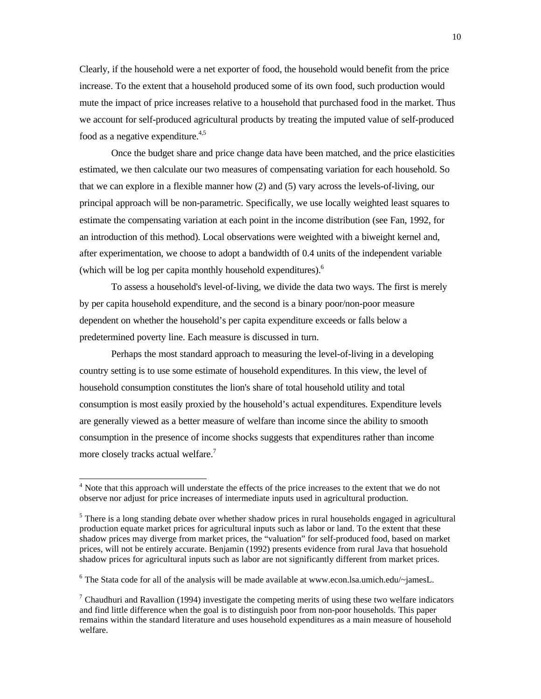Clearly, if the household were a net exporter of food, the household would benefit from the price increase. To the extent that a household produced some of its own food, such production would mute the impact of price increases relative to a household that purchased food in the market. Thus we account for self-produced agricultural products by treating the imputed value of self-produced food as a negative expenditure. $4,5$ 

Once the budget share and price change data have been matched, and the price elasticities estimated, we then calculate our two measures of compensating variation for each household. So that we can explore in a flexible manner how (2) and (5) vary across the levels-of-living, our principal approach will be non-parametric. Specifically, we use locally weighted least squares to estimate the compensating variation at each point in the income distribution (see Fan, 1992, for an introduction of this method). Local observations were weighted with a biweight kernel and, after experimentation, we choose to adopt a bandwidth of 0.4 units of the independent variable (which will be log per capita monthly household expenditures).<sup>6</sup>

To assess a household's level-of-living, we divide the data two ways. The first is merely by per capita household expenditure, and the second is a binary poor/non-poor measure dependent on whether the household's per capita expenditure exceeds or falls below a predetermined poverty line. Each measure is discussed in turn.

Perhaps the most standard approach to measuring the level-of-living in a developing country setting is to use some estimate of household expenditures. In this view, the level of household consumption constitutes the lion's share of total household utility and total consumption is most easily proxied by the household's actual expenditures. Expenditure levels are generally viewed as a better measure of welfare than income since the ability to smooth consumption in the presence of income shocks suggests that expenditures rather than income more closely tracks actual welfare.<sup>7</sup>

 $\overline{a}$ 

<sup>&</sup>lt;sup>4</sup> Note that this approach will understate the effects of the price increases to the extent that we do not observe nor adjust for price increases of intermediate inputs used in agricultural production.

 $<sup>5</sup>$  There is a long standing debate over whether shadow prices in rural households engaged in agricultural</sup> production equate market prices for agricultural inputs such as labor or land. To the extent that these shadow prices may diverge from market prices, the "valuation" for self-produced food, based on market prices, will not be entirely accurate. Benjamin (1992) presents evidence from rural Java that hosuehold shadow prices for agricultural inputs such as labor are not significantly different from market prices.

 $6$  The Stata code for all of the analysis will be made available at www.econ.lsa.umich.edu/~jamesL.

<sup>&</sup>lt;sup>7</sup> Chaudhuri and Ravallion (1994) investigate the competing merits of using these two welfare indicators and find little difference when the goal is to distinguish poor from non-poor households. This paper remains within the standard literature and uses household expenditures as a main measure of household welfare.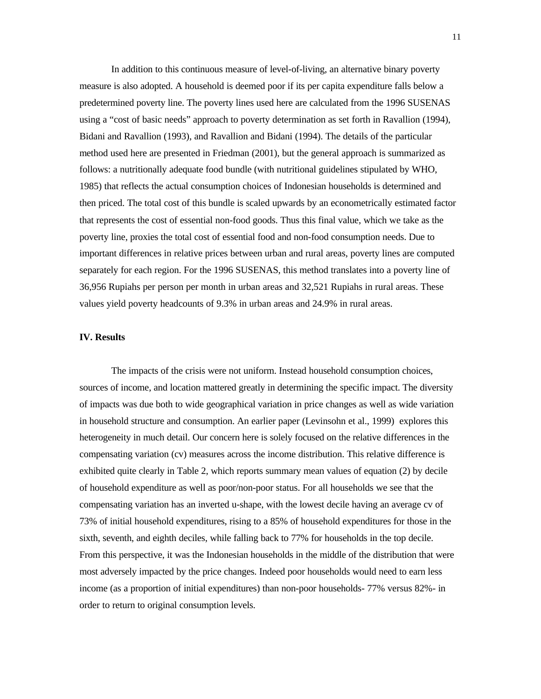In addition to this continuous measure of level-of-living, an alternative binary poverty measure is also adopted. A household is deemed poor if its per capita expenditure falls below a predetermined poverty line. The poverty lines used here are calculated from the 1996 SUSENAS using a "cost of basic needs" approach to poverty determination as set forth in Ravallion (1994), Bidani and Ravallion (1993), and Ravallion and Bidani (1994). The details of the particular method used here are presented in Friedman (2001), but the general approach is summarized as follows: a nutritionally adequate food bundle (with nutritional guidelines stipulated by WHO, 1985) that reflects the actual consumption choices of Indonesian households is determined and then priced. The total cost of this bundle is scaled upwards by an econometrically estimated factor that represents the cost of essential non-food goods. Thus this final value, which we take as the poverty line, proxies the total cost of essential food and non-food consumption needs. Due to important differences in relative prices between urban and rural areas, poverty lines are computed separately for each region. For the 1996 SUSENAS, this method translates into a poverty line of 36,956 Rupiahs per person per month in urban areas and 32,521 Rupiahs in rural areas. These values yield poverty headcounts of 9.3% in urban areas and 24.9% in rural areas.

#### **IV. Results**

The impacts of the crisis were not uniform. Instead household consumption choices, sources of income, and location mattered greatly in determining the specific impact. The diversity of impacts was due both to wide geographical variation in price changes as well as wide variation in household structure and consumption. An earlier paper (Levinsohn et al., 1999) explores this heterogeneity in much detail. Our concern here is solely focused on the relative differences in the compensating variation (cv) measures across the income distribution. This relative difference is exhibited quite clearly in Table 2, which reports summary mean values of equation (2) by decile of household expenditure as well as poor/non-poor status. For all households we see that the compensating variation has an inverted u-shape, with the lowest decile having an average cv of 73% of initial household expenditures, rising to a 85% of household expenditures for those in the sixth, seventh, and eighth deciles, while falling back to 77% for households in the top decile. From this perspective, it was the Indonesian households in the middle of the distribution that were most adversely impacted by the price changes. Indeed poor households would need to earn less income (as a proportion of initial expenditures) than non-poor households- 77% versus 82%- in order to return to original consumption levels.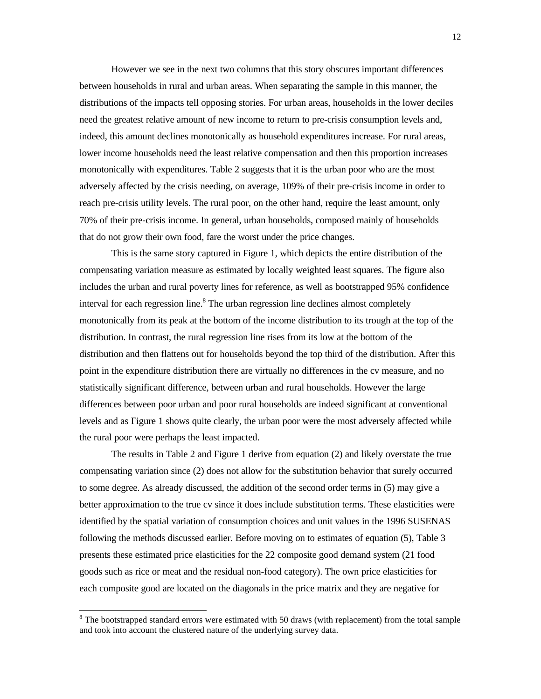However we see in the next two columns that this story obscures important differences between households in rural and urban areas. When separating the sample in this manner, the distributions of the impacts tell opposing stories. For urban areas, households in the lower deciles need the greatest relative amount of new income to return to pre-crisis consumption levels and, indeed, this amount declines monotonically as household expenditures increase. For rural areas, lower income households need the least relative compensation and then this proportion increases monotonically with expenditures. Table 2 suggests that it is the urban poor who are the most adversely affected by the crisis needing, on average, 109% of their pre-crisis income in order to reach pre-crisis utility levels. The rural poor, on the other hand, require the least amount, only 70% of their pre-crisis income. In general, urban households, composed mainly of households that do not grow their own food, fare the worst under the price changes.

This is the same story captured in Figure 1, which depicts the entire distribution of the compensating variation measure as estimated by locally weighted least squares. The figure also includes the urban and rural poverty lines for reference, as well as bootstrapped 95% confidence interval for each regression line.<sup>8</sup> The urban regression line declines almost completely monotonically from its peak at the bottom of the income distribution to its trough at the top of the distribution. In contrast, the rural regression line rises from its low at the bottom of the distribution and then flattens out for households beyond the top third of the distribution. After this point in the expenditure distribution there are virtually no differences in the cv measure, and no statistically significant difference, between urban and rural households. However the large differences between poor urban and poor rural households are indeed significant at conventional levels and as Figure 1 shows quite clearly, the urban poor were the most adversely affected while the rural poor were perhaps the least impacted.

The results in Table 2 and Figure 1 derive from equation (2) and likely overstate the true compensating variation since (2) does not allow for the substitution behavior that surely occurred to some degree. As already discussed, the addition of the second order terms in (5) may give a better approximation to the true cv since it does include substitution terms. These elasticities were identified by the spatial variation of consumption choices and unit values in the 1996 SUSENAS following the methods discussed earlier. Before moving on to estimates of equation (5), Table 3 presents these estimated price elasticities for the 22 composite good demand system (21 food goods such as rice or meat and the residual non-food category). The own price elasticities for each composite good are located on the diagonals in the price matrix and they are negative for

 $\overline{\phantom{a}}$ 

 $8$  The bootstrapped standard errors were estimated with 50 draws (with replacement) from the total sample and took into account the clustered nature of the underlying survey data.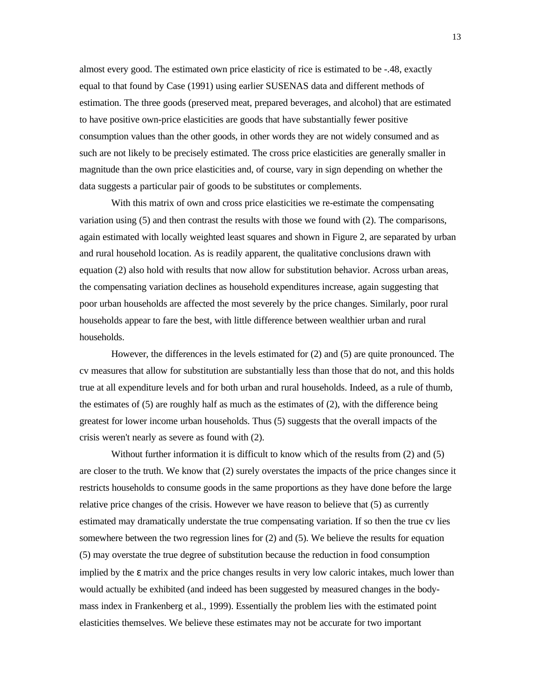almost every good. The estimated own price elasticity of rice is estimated to be -.48, exactly equal to that found by Case (1991) using earlier SUSENAS data and different methods of estimation. The three goods (preserved meat, prepared beverages, and alcohol) that are estimated to have positive own-price elasticities are goods that have substantially fewer positive consumption values than the other goods, in other words they are not widely consumed and as such are not likely to be precisely estimated. The cross price elasticities are generally smaller in magnitude than the own price elasticities and, of course, vary in sign depending on whether the data suggests a particular pair of goods to be substitutes or complements.

With this matrix of own and cross price elasticities we re-estimate the compensating variation using (5) and then contrast the results with those we found with (2). The comparisons, again estimated with locally weighted least squares and shown in Figure 2, are separated by urban and rural household location. As is readily apparent, the qualitative conclusions drawn with equation (2) also hold with results that now allow for substitution behavior. Across urban areas, the compensating variation declines as household expenditures increase, again suggesting that poor urban households are affected the most severely by the price changes. Similarly, poor rural households appear to fare the best, with little difference between wealthier urban and rural households.

However, the differences in the levels estimated for (2) and (5) are quite pronounced. The cv measures that allow for substitution are substantially less than those that do not, and this holds true at all expenditure levels and for both urban and rural households. Indeed, as a rule of thumb, the estimates of (5) are roughly half as much as the estimates of (2), with the difference being greatest for lower income urban households. Thus (5) suggests that the overall impacts of the crisis weren't nearly as severe as found with (2).

Without further information it is difficult to know which of the results from (2) and (5) are closer to the truth. We know that (2) surely overstates the impacts of the price changes since it restricts households to consume goods in the same proportions as they have done before the large relative price changes of the crisis. However we have reason to believe that (5) as currently estimated may dramatically understate the true compensating variation. If so then the true cv lies somewhere between the two regression lines for (2) and (5). We believe the results for equation (5) may overstate the true degree of substitution because the reduction in food consumption implied by the ε matrix and the price changes results in very low caloric intakes, much lower than would actually be exhibited (and indeed has been suggested by measured changes in the bodymass index in Frankenberg et al., 1999). Essentially the problem lies with the estimated point elasticities themselves. We believe these estimates may not be accurate for two important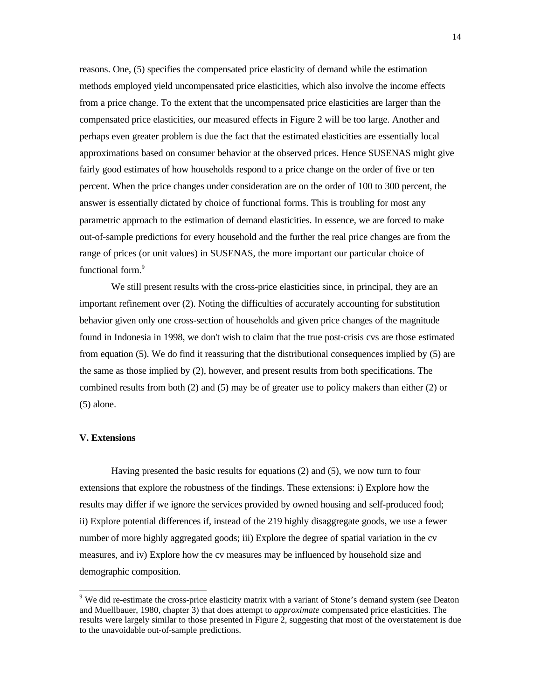reasons. One, (5) specifies the compensated price elasticity of demand while the estimation methods employed yield uncompensated price elasticities, which also involve the income effects from a price change. To the extent that the uncompensated price elasticities are larger than the compensated price elasticities, our measured effects in Figure 2 will be too large. Another and perhaps even greater problem is due the fact that the estimated elasticities are essentially local approximations based on consumer behavior at the observed prices. Hence SUSENAS might give fairly good estimates of how households respond to a price change on the order of five or ten percent. When the price changes under consideration are on the order of 100 to 300 percent, the answer is essentially dictated by choice of functional forms. This is troubling for most any parametric approach to the estimation of demand elasticities. In essence, we are forced to make out-of-sample predictions for every household and the further the real price changes are from the range of prices (or unit values) in SUSENAS, the more important our particular choice of functional form.<sup>9</sup>

We still present results with the cross-price elasticities since, in principal, they are an important refinement over (2). Noting the difficulties of accurately accounting for substitution behavior given only one cross-section of households and given price changes of the magnitude found in Indonesia in 1998, we don't wish to claim that the true post-crisis cvs are those estimated from equation (5). We do find it reassuring that the distributional consequences implied by (5) are the same as those implied by (2), however, and present results from both specifications. The combined results from both (2) and (5) may be of greater use to policy makers than either (2) or (5) alone.

## **V. Extensions**

 $\overline{\phantom{a}}$ 

Having presented the basic results for equations (2) and (5), we now turn to four extensions that explore the robustness of the findings. These extensions: i) Explore how the results may differ if we ignore the services provided by owned housing and self-produced food; ii) Explore potential differences if, instead of the 219 highly disaggregate goods, we use a fewer number of more highly aggregated goods; iii) Explore the degree of spatial variation in the cv measures, and iv) Explore how the cv measures may be influenced by household size and demographic composition.

<sup>&</sup>lt;sup>9</sup> We did re-estimate the cross-price elasticity matrix with a variant of Stone's demand system (see Deaton and Muellbauer, 1980, chapter 3) that does attempt to *approximate* compensated price elasticities. The results were largely similar to those presented in Figure 2, suggesting that most of the overstatement is due to the unavoidable out-of-sample predictions.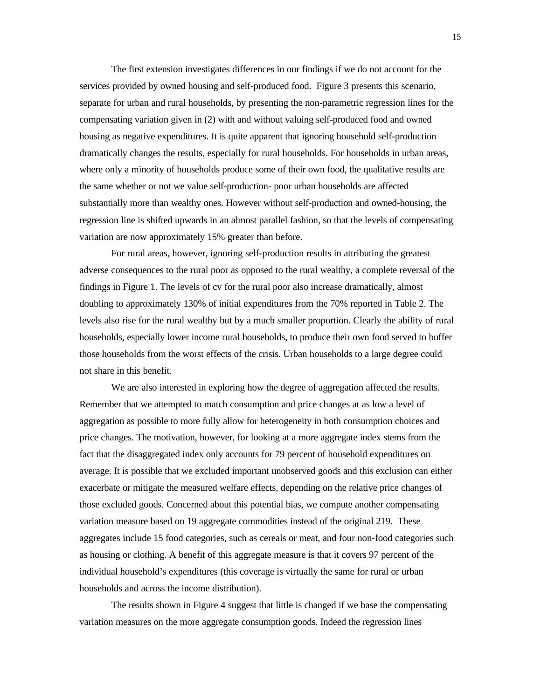The first extension investigates differences in our findings if we do not account for the services provided by owned housing and self-produced food. Figure 3 presents this scenario, separate for urban and rural households, by presenting the non-parametric regression lines for the compensating variation given in (2) with and without valuing self-produced food and owned housing as negative expenditures. It is quite apparent that ignoring household self-production dramatically changes the results, especially for rural households. For households in urban areas, where only a minority of households produce some of their own food, the qualitative results are the same whether or not we value self-production- poor urban households are affected substantially more than wealthy ones. However without self-production and owned-housing, the regression line is shifted upwards in an almost parallel fashion, so that the levels of compensating variation are now approximately 15% greater than before.

For rural areas, however, ignoring self-production results in attributing the greatest adverse consequences to the rural poor as opposed to the rural wealthy, a complete reversal of the findings in Figure 1. The levels of cv for the rural poor also increase dramatically, almost doubling to approximately 130% of initial expenditures from the 70% reported in Table 2. The levels also rise for the rural wealthy but by a much smaller proportion. Clearly the ability of rural households, especially lower income rural households, to produce their own food served to buffer those households from the worst effects of the crisis. Urban households to a large degree could not share in this benefit.

We are also interested in exploring how the degree of aggregation affected the results. Remember that we attempted to match consumption and price changes at as low a level of aggregation as possible to more fully allow for heterogeneity in both consumption choices and price changes. The motivation, however, for looking at a more aggregate index stems from the fact that the disaggregated index only accounts for 79 percent of household expenditures on average. It is possible that we excluded important unobserved goods and this exclusion can either exacerbate or mitigate the measured welfare effects, depending on the relative price changes of those excluded goods. Concerned about this potential bias, we compute another compensating variation measure based on 19 aggregate commodities instead of the original 219. These aggregates include 15 food categories, such as cereals or meat, and four non-food categories such as housing or clothing. A benefit of this aggregate measure is that it covers 97 percent of the individual household's expenditures (this coverage is virtually the same for rural or urban households and across the income distribution).

The results shown in Figure 4 suggest that little is changed if we base the compensating variation measures on the more aggregate consumption goods. Indeed the regression lines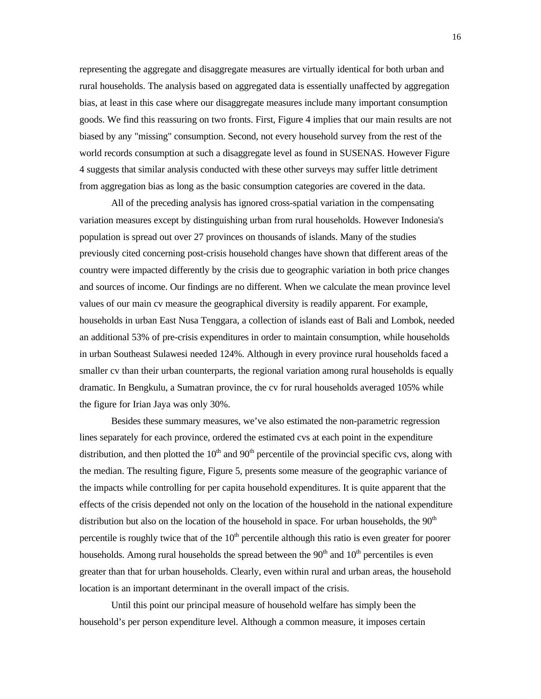representing the aggregate and disaggregate measures are virtually identical for both urban and rural households. The analysis based on aggregated data is essentially unaffected by aggregation bias, at least in this case where our disaggregate measures include many important consumption goods. We find this reassuring on two fronts. First, Figure 4 implies that our main results are not biased by any "missing" consumption. Second, not every household survey from the rest of the world records consumption at such a disaggregate level as found in SUSENAS. However Figure 4 suggests that similar analysis conducted with these other surveys may suffer little detriment from aggregation bias as long as the basic consumption categories are covered in the data.

All of the preceding analysis has ignored cross-spatial variation in the compensating variation measures except by distinguishing urban from rural households. However Indonesia's population is spread out over 27 provinces on thousands of islands. Many of the studies previously cited concerning post-crisis household changes have shown that different areas of the country were impacted differently by the crisis due to geographic variation in both price changes and sources of income. Our findings are no different. When we calculate the mean province level values of our main cv measure the geographical diversity is readily apparent. For example, households in urban East Nusa Tenggara, a collection of islands east of Bali and Lombok, needed an additional 53% of pre-crisis expenditures in order to maintain consumption, while households in urban Southeast Sulawesi needed 124%. Although in every province rural households faced a smaller cv than their urban counterparts, the regional variation among rural households is equally dramatic. In Bengkulu, a Sumatran province, the cv for rural households averaged 105% while the figure for Irian Jaya was only 30%.

Besides these summary measures, we've also estimated the non-parametric regression lines separately for each province, ordered the estimated cvs at each point in the expenditure distribution, and then plotted the  $10<sup>th</sup>$  and  $90<sup>th</sup>$  percentile of the provincial specific cvs, along with the median. The resulting figure, Figure 5, presents some measure of the geographic variance of the impacts while controlling for per capita household expenditures. It is quite apparent that the effects of the crisis depended not only on the location of the household in the national expenditure distribution but also on the location of the household in space. For urban households, the  $90<sup>th</sup>$ percentile is roughly twice that of the  $10<sup>th</sup>$  percentile although this ratio is even greater for poorer households. Among rural households the spread between the  $90<sup>th</sup>$  and  $10<sup>th</sup>$  percentiles is even greater than that for urban households. Clearly, even within rural and urban areas, the household location is an important determinant in the overall impact of the crisis.

Until this point our principal measure of household welfare has simply been the household's per person expenditure level. Although a common measure, it imposes certain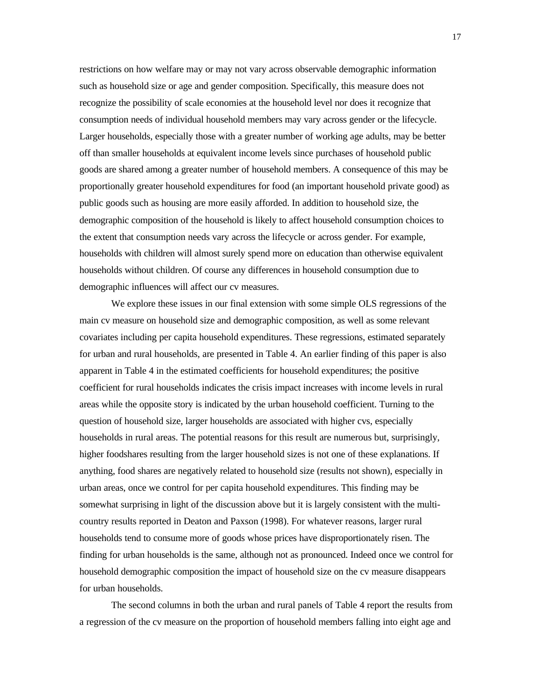restrictions on how welfare may or may not vary across observable demographic information such as household size or age and gender composition. Specifically, this measure does not recognize the possibility of scale economies at the household level nor does it recognize that consumption needs of individual household members may vary across gender or the lifecycle. Larger households, especially those with a greater number of working age adults, may be better off than smaller households at equivalent income levels since purchases of household public goods are shared among a greater number of household members. A consequence of this may be proportionally greater household expenditures for food (an important household private good) as public goods such as housing are more easily afforded. In addition to household size, the demographic composition of the household is likely to affect household consumption choices to the extent that consumption needs vary across the lifecycle or across gender. For example, households with children will almost surely spend more on education than otherwise equivalent households without children. Of course any differences in household consumption due to demographic influences will affect our cv measures.

We explore these issues in our final extension with some simple OLS regressions of the main cv measure on household size and demographic composition, as well as some relevant covariates including per capita household expenditures. These regressions, estimated separately for urban and rural households, are presented in Table 4. An earlier finding of this paper is also apparent in Table 4 in the estimated coefficients for household expenditures; the positive coefficient for rural households indicates the crisis impact increases with income levels in rural areas while the opposite story is indicated by the urban household coefficient. Turning to the question of household size, larger households are associated with higher cvs, especially households in rural areas. The potential reasons for this result are numerous but, surprisingly, higher foodshares resulting from the larger household sizes is not one of these explanations. If anything, food shares are negatively related to household size (results not shown), especially in urban areas, once we control for per capita household expenditures. This finding may be somewhat surprising in light of the discussion above but it is largely consistent with the multicountry results reported in Deaton and Paxson (1998). For whatever reasons, larger rural households tend to consume more of goods whose prices have disproportionately risen. The finding for urban households is the same, although not as pronounced. Indeed once we control for household demographic composition the impact of household size on the cv measure disappears for urban households.

The second columns in both the urban and rural panels of Table 4 report the results from a regression of the cv measure on the proportion of household members falling into eight age and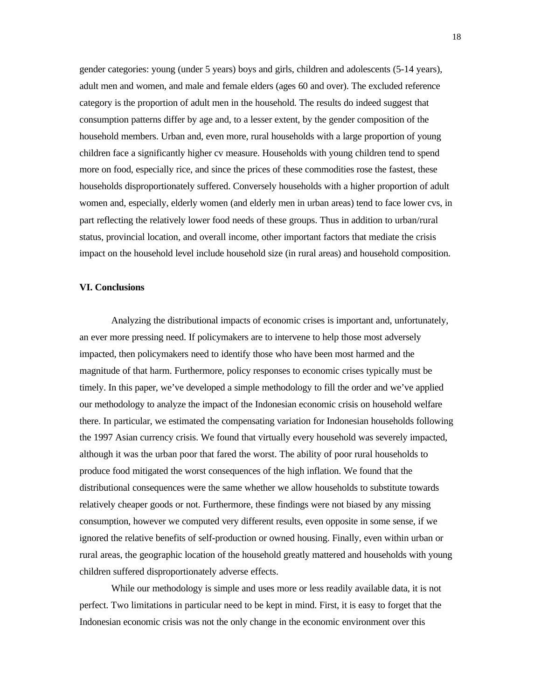gender categories: young (under 5 years) boys and girls, children and adolescents (5-14 years), adult men and women, and male and female elders (ages 60 and over). The excluded reference category is the proportion of adult men in the household. The results do indeed suggest that consumption patterns differ by age and, to a lesser extent, by the gender composition of the household members. Urban and, even more, rural households with a large proportion of young children face a significantly higher cv measure. Households with young children tend to spend more on food, especially rice, and since the prices of these commodities rose the fastest, these households disproportionately suffered. Conversely households with a higher proportion of adult women and, especially, elderly women (and elderly men in urban areas) tend to face lower cvs, in part reflecting the relatively lower food needs of these groups. Thus in addition to urban/rural status, provincial location, and overall income, other important factors that mediate the crisis impact on the household level include household size (in rural areas) and household composition.

### **VI. Conclusions**

Analyzing the distributional impacts of economic crises is important and, unfortunately, an ever more pressing need. If policymakers are to intervene to help those most adversely impacted, then policymakers need to identify those who have been most harmed and the magnitude of that harm. Furthermore, policy responses to economic crises typically must be timely. In this paper, we've developed a simple methodology to fill the order and we've applied our methodology to analyze the impact of the Indonesian economic crisis on household welfare there. In particular, we estimated the compensating variation for Indonesian households following the 1997 Asian currency crisis. We found that virtually every household was severely impacted, although it was the urban poor that fared the worst. The ability of poor rural households to produce food mitigated the worst consequences of the high inflation. We found that the distributional consequences were the same whether we allow households to substitute towards relatively cheaper goods or not. Furthermore, these findings were not biased by any missing consumption, however we computed very different results, even opposite in some sense, if we ignored the relative benefits of self-production or owned housing. Finally, even within urban or rural areas, the geographic location of the household greatly mattered and households with young children suffered disproportionately adverse effects.

While our methodology is simple and uses more or less readily available data, it is not perfect. Two limitations in particular need to be kept in mind. First, it is easy to forget that the Indonesian economic crisis was not the only change in the economic environment over this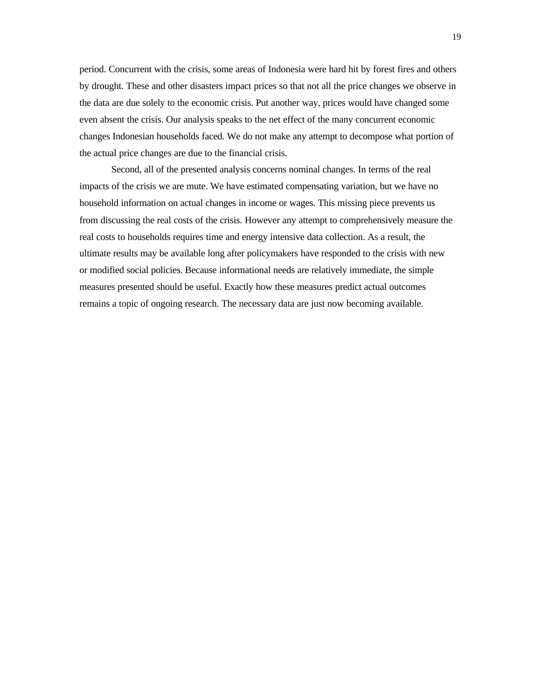period. Concurrent with the crisis, some areas of Indonesia were hard hit by forest fires and others by drought. These and other disasters impact prices so that not all the price changes we observe in the data are due solely to the economic crisis. Put another way, prices would have changed some even absent the crisis. Our analysis speaks to the net effect of the many concurrent economic changes Indonesian households faced. We do not make any attempt to decompose what portion of the actual price changes are due to the financial crisis.

Second, all of the presented analysis concerns nominal changes. In terms of the real impacts of the crisis we are mute. We have estimated compensating variation, but we have no household information on actual changes in income or wages. This missing piece prevents us from discussing the real costs of the crisis. However any attempt to comprehensively measure the real costs to households requires time and energy intensive data collection. As a result, the ultimate results may be available long after policymakers have responded to the crisis with new or modified social policies. Because informational needs are relatively immediate, the simple measures presented should be useful. Exactly how these measures predict actual outcomes remains a topic of ongoing research. The necessary data are just now becoming available.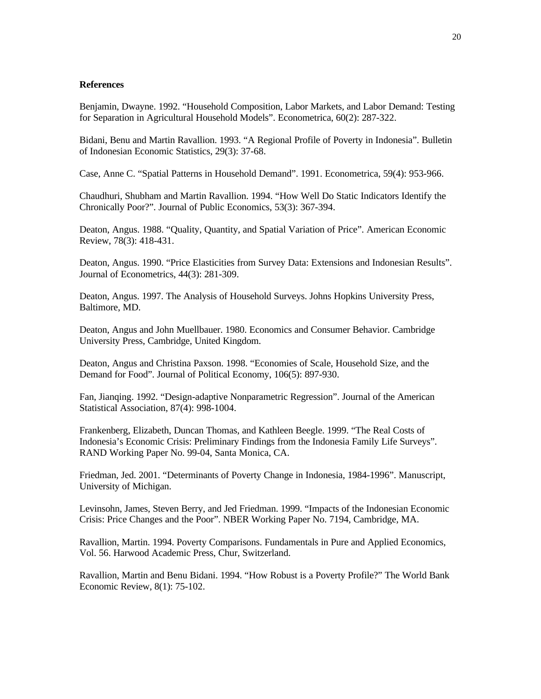## **References**

Benjamin, Dwayne. 1992. "Household Composition, Labor Markets, and Labor Demand: Testing for Separation in Agricultural Household Models". Econometrica, 60(2): 287-322.

Bidani, Benu and Martin Ravallion. 1993. "A Regional Profile of Poverty in Indonesia". Bulletin of Indonesian Economic Statistics, 29(3): 37-68.

Case, Anne C. "Spatial Patterns in Household Demand". 1991. Econometrica, 59(4): 953-966.

Chaudhuri, Shubham and Martin Ravallion. 1994. "How Well Do Static Indicators Identify the Chronically Poor?". Journal of Public Economics, 53(3): 367-394.

Deaton, Angus. 1988. "Quality, Quantity, and Spatial Variation of Price". American Economic Review, 78(3): 418-431.

Deaton, Angus. 1990. "Price Elasticities from Survey Data: Extensions and Indonesian Results". Journal of Econometrics, 44(3): 281-309.

Deaton, Angus. 1997. The Analysis of Household Surveys. Johns Hopkins University Press, Baltimore, MD.

Deaton, Angus and John Muellbauer. 1980. Economics and Consumer Behavior. Cambridge University Press, Cambridge, United Kingdom.

Deaton, Angus and Christina Paxson. 1998. "Economies of Scale, Household Size, and the Demand for Food". Journal of Political Economy, 106(5): 897-930.

Fan, Jianqing. 1992. "Design-adaptive Nonparametric Regression". Journal of the American Statistical Association, 87(4): 998-1004.

Frankenberg, Elizabeth, Duncan Thomas, and Kathleen Beegle. 1999. "The Real Costs of Indonesia's Economic Crisis: Preliminary Findings from the Indonesia Family Life Surveys". RAND Working Paper No. 99-04, Santa Monica, CA.

Friedman, Jed. 2001. "Determinants of Poverty Change in Indonesia, 1984-1996". Manuscript, University of Michigan.

Levinsohn, James, Steven Berry, and Jed Friedman. 1999. "Impacts of the Indonesian Economic Crisis: Price Changes and the Poor". NBER Working Paper No. 7194, Cambridge, MA.

Ravallion, Martin. 1994. Poverty Comparisons. Fundamentals in Pure and Applied Economics, Vol. 56. Harwood Academic Press, Chur, Switzerland.

Ravallion, Martin and Benu Bidani. 1994. "How Robust is a Poverty Profile?" The World Bank Economic Review, 8(1): 75-102.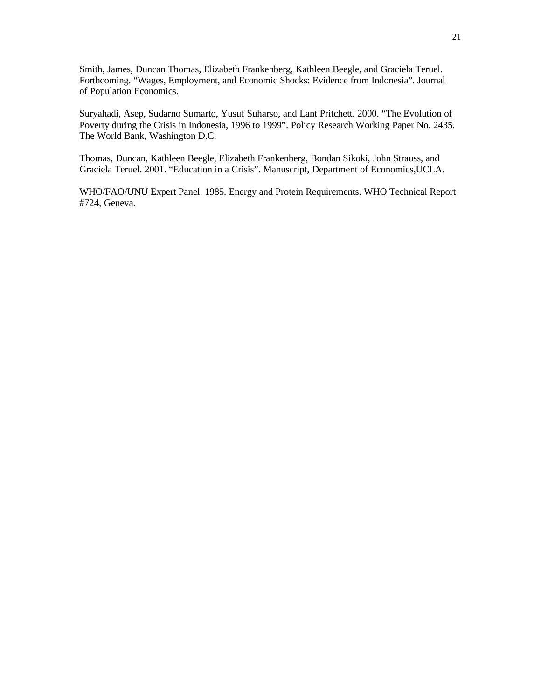Smith, James, Duncan Thomas, Elizabeth Frankenberg, Kathleen Beegle, and Graciela Teruel. Forthcoming. "Wages, Employment, and Economic Shocks: Evidence from Indonesia". Journal of Population Economics.

Suryahadi, Asep, Sudarno Sumarto, Yusuf Suharso, and Lant Pritchett. 2000. "The Evolution of Poverty during the Crisis in Indonesia, 1996 to 1999". Policy Research Working Paper No. 2435. The World Bank, Washington D.C.

Thomas, Duncan, Kathleen Beegle, Elizabeth Frankenberg, Bondan Sikoki, John Strauss, and Graciela Teruel. 2001. "Education in a Crisis". Manuscript, Department of Economics,UCLA.

WHO/FAO/UNU Expert Panel. 1985. Energy and Protein Requirements. WHO Technical Report #724, Geneva.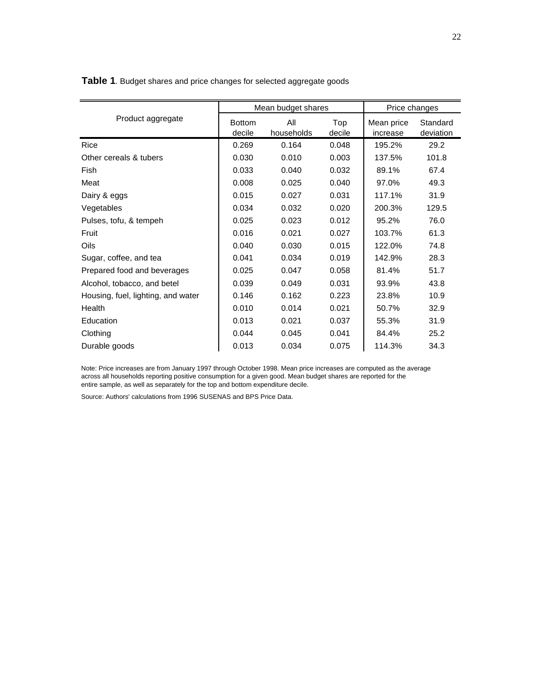|                                    |                         | Mean budget shares | Price changes |                        |                       |
|------------------------------------|-------------------------|--------------------|---------------|------------------------|-----------------------|
| Product aggregate                  | <b>Bottom</b><br>decile | All<br>households  | Top<br>decile | Mean price<br>increase | Standard<br>deviation |
| Rice                               | 0.269                   | 0.164              | 0.048         | 195.2%                 | 29.2                  |
| Other cereals & tubers             | 0.030                   | 0.010              | 0.003         | 137.5%                 | 101.8                 |
| Fish                               | 0.033                   | 0.040              | 0.032         | 89.1%                  | 67.4                  |
| Meat                               | 0.008                   | 0.025              | 0.040         | 97.0%                  | 49.3                  |
| Dairy & eggs                       | 0.015                   | 0.027              | 0.031         | 117.1%                 | 31.9                  |
| Vegetables                         | 0.034                   | 0.032              | 0.020         | 200.3%                 | 129.5                 |
| Pulses, tofu, & tempeh             | 0.025                   | 0.023              | 0.012         | 95.2%                  | 76.0                  |
| Fruit                              | 0.016                   | 0.021              | 0.027         | 103.7%                 | 61.3                  |
| <b>Oils</b>                        | 0.040                   | 0.030              | 0.015         | 122.0%                 | 74.8                  |
| Sugar, coffee, and tea             | 0.041                   | 0.034              | 0.019         | 142.9%                 | 28.3                  |
| Prepared food and beverages        | 0.025                   | 0.047              | 0.058         | 81.4%                  | 51.7                  |
| Alcohol, tobacco, and betel        | 0.039                   | 0.049              | 0.031         | 93.9%                  | 43.8                  |
| Housing, fuel, lighting, and water | 0.146                   | 0.162              | 0.223         | 23.8%                  | 10.9                  |
| Health                             | 0.010                   | 0.014              | 0.021         | 50.7%                  | 32.9                  |
| Education                          | 0.013                   | 0.021              | 0.037         | 55.3%                  | 31.9                  |
| Clothing                           | 0.044                   | 0.045              | 0.041         | 84.4%                  | 25.2                  |
| Durable goods                      | 0.013                   | 0.034              | 0.075         | 114.3%                 | 34.3                  |

**Table 1**. Budget shares and price changes for selected aggregate goods

Note: Price increases are from January 1997 through October 1998. Mean price increases are computed as the average across all households reporting positive consumption for a given good. Mean budget shares are reported for the entire sample, as well as separately for the top and bottom expenditure decile.

Source: Authors' calculations from 1996 SUSENAS and BPS Price Data.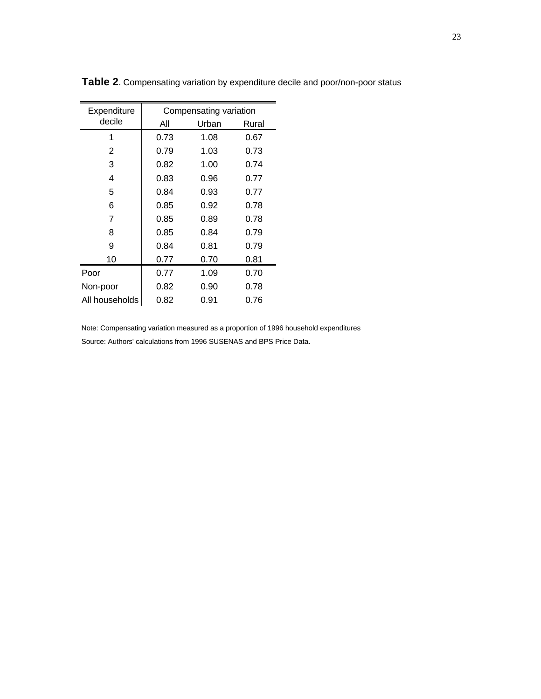| Expenditure    | Compensating variation |       |       |  |  |  |  |
|----------------|------------------------|-------|-------|--|--|--|--|
| decile         | Αll                    | Urban | Rural |  |  |  |  |
| 1              | 0.73                   | 1.08  | 0.67  |  |  |  |  |
| 2              | 0.79                   | 1.03  | 0.73  |  |  |  |  |
| 3              | 0.82                   | 1.00  | 0.74  |  |  |  |  |
| 4              | 0.83                   | 0.96  | 0.77  |  |  |  |  |
| 5              | 0.84                   | 0.93  | 0.77  |  |  |  |  |
| 6              | 0.85                   | 0.92  | 0.78  |  |  |  |  |
| 7              | 0.85                   | 0.89  | 0.78  |  |  |  |  |
| 8              | 0.85                   | 0.84  | 0.79  |  |  |  |  |
| 9              | 0.84                   | 0.81  | 0.79  |  |  |  |  |
| 10             | 0.77                   | 0.70  | 0.81  |  |  |  |  |
| Poor           | 0.77                   | 1.09  | 0.70  |  |  |  |  |
| Non-poor       | 0.82                   | 0.90  | 0.78  |  |  |  |  |
| All households | 0.82                   | 0.91  | 0.76  |  |  |  |  |

**Table 2**. Compensating variation by expenditure decile and poor/non-poor status

Note: Compensating variation measured as a proportion of 1996 household expenditures Source: Authors' calculations from 1996 SUSENAS and BPS Price Data.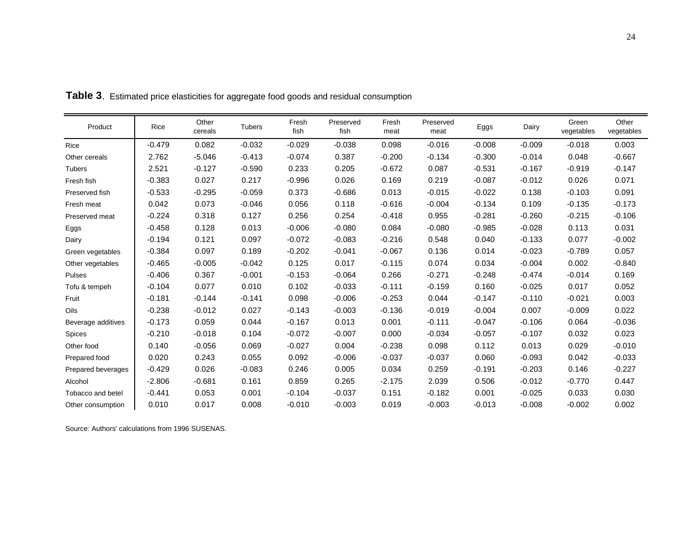| Product            | Rice     | Other<br>cereals | <b>Tubers</b> | Fresh<br>fish | Preserved<br>fish | Fresh<br>meat | Preserved<br>meat | Eggs     | Dairy    | Green<br>vegetables | Other<br>vegetables |
|--------------------|----------|------------------|---------------|---------------|-------------------|---------------|-------------------|----------|----------|---------------------|---------------------|
| Rice               | $-0.479$ | 0.082            | $-0.032$      | $-0.029$      | $-0.038$          | 0.098         | $-0.016$          | $-0.008$ | $-0.009$ | $-0.018$            | 0.003               |
| Other cereals      | 2.762    | $-5.046$         | $-0.413$      | $-0.074$      | 0.387             | $-0.200$      | $-0.134$          | $-0.300$ | $-0.014$ | 0.048               | $-0.667$            |
| Tubers             | 2.521    | $-0.127$         | $-0.590$      | 0.233         | 0.205             | $-0.672$      | 0.087             | $-0.531$ | $-0.167$ | $-0.919$            | $-0.147$            |
| Fresh fish         | $-0.383$ | 0.027            | 0.217         | $-0.996$      | 0.026             | 0.169         | 0.219             | $-0.087$ | $-0.012$ | 0.026               | 0.071               |
| Preserved fish     | $-0.533$ | $-0.295$         | $-0.059$      | 0.373         | $-0.686$          | 0.013         | $-0.015$          | $-0.022$ | 0.138    | $-0.103$            | 0.091               |
| Fresh meat         | 0.042    | 0.073            | $-0.046$      | 0.056         | 0.118             | $-0.616$      | $-0.004$          | $-0.134$ | 0.109    | $-0.135$            | $-0.173$            |
| Preserved meat     | $-0.224$ | 0.318            | 0.127         | 0.256         | 0.254             | $-0.418$      | 0.955             | $-0.281$ | $-0.260$ | $-0.215$            | $-0.106$            |
| Eggs               | $-0.458$ | 0.128            | 0.013         | $-0.006$      | $-0.080$          | 0.084         | $-0.080$          | $-0.985$ | $-0.028$ | 0.113               | 0.031               |
| Dairy              | $-0.194$ | 0.121            | 0.097         | $-0.072$      | $-0.083$          | $-0.216$      | 0.548             | 0.040    | $-0.133$ | 0.077               | $-0.002$            |
| Green vegetables   | $-0.384$ | 0.097            | 0.189         | $-0.202$      | $-0.041$          | $-0.067$      | 0.136             | 0.014    | $-0.023$ | $-0.789$            | 0.057               |
| Other vegetables   | $-0.465$ | $-0.005$         | $-0.042$      | 0.125         | 0.017             | $-0.115$      | 0.074             | 0.034    | $-0.004$ | 0.002               | $-0.840$            |
| Pulses             | $-0.406$ | 0.367            | $-0.001$      | $-0.153$      | $-0.064$          | 0.266         | $-0.271$          | $-0.248$ | $-0.474$ | $-0.014$            | 0.169               |
| Tofu & tempeh      | $-0.104$ | 0.077            | 0.010         | 0.102         | $-0.033$          | $-0.111$      | $-0.159$          | 0.160    | $-0.025$ | 0.017               | 0.052               |
| Fruit              | $-0.181$ | $-0.144$         | $-0.141$      | 0.098         | $-0.006$          | $-0.253$      | 0.044             | $-0.147$ | $-0.110$ | $-0.021$            | 0.003               |
| Oils               | $-0.238$ | $-0.012$         | 0.027         | $-0.143$      | $-0.003$          | $-0.136$      | $-0.019$          | $-0.004$ | 0.007    | $-0.009$            | 0.022               |
| Beverage additives | $-0.173$ | 0.059            | 0.044         | $-0.167$      | 0.013             | 0.001         | $-0.111$          | $-0.047$ | $-0.106$ | 0.064               | $-0.036$            |
| Spices             | $-0.210$ | $-0.018$         | 0.104         | $-0.072$      | $-0.007$          | 0.000         | $-0.034$          | $-0.057$ | $-0.107$ | 0.032               | 0.023               |
| Other food         | 0.140    | $-0.056$         | 0.069         | $-0.027$      | 0.004             | $-0.238$      | 0.098             | 0.112    | 0.013    | 0.029               | $-0.010$            |
| Prepared food      | 0.020    | 0.243            | 0.055         | 0.092         | $-0.006$          | $-0.037$      | $-0.037$          | 0.060    | $-0.093$ | 0.042               | $-0.033$            |
| Prepared beverages | $-0.429$ | 0.026            | $-0.083$      | 0.246         | 0.005             | 0.034         | 0.259             | $-0.191$ | $-0.203$ | 0.146               | $-0.227$            |
| Alcohol            | $-2.806$ | $-0.681$         | 0.161         | 0.859         | 0.265             | $-2.175$      | 2.039             | 0.506    | $-0.012$ | $-0.770$            | 0.447               |
| Tobacco and betel  | $-0.441$ | 0.053            | 0.001         | $-0.104$      | $-0.037$          | 0.151         | $-0.182$          | 0.001    | $-0.025$ | 0.033               | 0.030               |
| Other consumption  | 0.010    | 0.017            | 0.008         | $-0.010$      | $-0.003$          | 0.019         | $-0.003$          | $-0.013$ | $-0.008$ | $-0.002$            | 0.002               |

**Table 3**. Estimated price elasticities for aggregate food goods and residual consumption

Source: Authors' calculations from 1996 SUSENAS.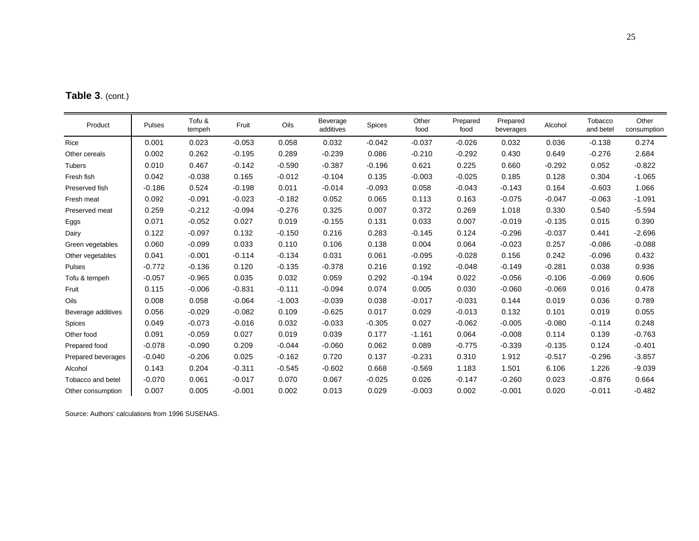| Table 3. (cont.) |  |  |
|------------------|--|--|
|------------------|--|--|

| Product            | Pulses   | Tofu &<br>tempeh | Fruit    | Oils     | Beverage<br>additives | Spices   | Other<br>food | Prepared<br>food | Prepared<br>beverages | Alcohol  | Tobacco<br>and betel | Other<br>consumption |
|--------------------|----------|------------------|----------|----------|-----------------------|----------|---------------|------------------|-----------------------|----------|----------------------|----------------------|
| Rice               | 0.001    | 0.023            | $-0.053$ | 0.058    | 0.032                 | $-0.042$ | $-0.037$      | $-0.026$         | 0.032                 | 0.036    | $-0.138$             | 0.274                |
| Other cereals      | 0.002    | 0.262            | $-0.195$ | 0.289    | $-0.239$              | 0.086    | $-0.210$      | $-0.292$         | 0.430                 | 0.649    | $-0.276$             | 2.684                |
| <b>Tubers</b>      | 0.010    | 0.467            | $-0.142$ | $-0.590$ | $-0.387$              | $-0.196$ | 0.621         | 0.225            | 0.660                 | $-0.292$ | 0.052                | $-0.822$             |
| Fresh fish         | 0.042    | $-0.038$         | 0.165    | $-0.012$ | $-0.104$              | 0.135    | $-0.003$      | $-0.025$         | 0.185                 | 0.128    | 0.304                | $-1.065$             |
| Preserved fish     | $-0.186$ | 0.524            | $-0.198$ | 0.011    | $-0.014$              | $-0.093$ | 0.058         | $-0.043$         | $-0.143$              | 0.164    | $-0.603$             | 1.066                |
| Fresh meat         | 0.092    | $-0.091$         | $-0.023$ | $-0.182$ | 0.052                 | 0.065    | 0.113         | 0.163            | $-0.075$              | $-0.047$ | $-0.063$             | $-1.091$             |
| Preserved meat     | 0.259    | $-0.212$         | $-0.094$ | $-0.276$ | 0.325                 | 0.007    | 0.372         | 0.269            | 1.018                 | 0.330    | 0.540                | $-5.594$             |
| Eggs               | 0.071    | $-0.052$         | 0.027    | 0.019    | $-0.155$              | 0.131    | 0.033         | 0.007            | $-0.019$              | $-0.135$ | 0.015                | 0.390                |
| Dairy              | 0.122    | $-0.097$         | 0.132    | $-0.150$ | 0.216                 | 0.283    | $-0.145$      | 0.124            | $-0.296$              | $-0.037$ | 0.441                | $-2.696$             |
| Green vegetables   | 0.060    | $-0.099$         | 0.033    | 0.110    | 0.106                 | 0.138    | 0.004         | 0.064            | $-0.023$              | 0.257    | $-0.086$             | $-0.088$             |
| Other vegetables   | 0.041    | $-0.001$         | $-0.114$ | $-0.134$ | 0.031                 | 0.061    | $-0.095$      | $-0.028$         | 0.156                 | 0.242    | $-0.096$             | 0.432                |
| <b>Pulses</b>      | $-0.772$ | $-0.136$         | 0.120    | $-0.135$ | $-0.378$              | 0.216    | 0.192         | $-0.048$         | $-0.149$              | $-0.281$ | 0.038                | 0.936                |
| Tofu & tempeh      | $-0.057$ | $-0.965$         | 0.035    | 0.032    | 0.059                 | 0.292    | $-0.194$      | 0.022            | $-0.056$              | $-0.106$ | $-0.069$             | 0.606                |
| Fruit              | 0.115    | $-0.006$         | $-0.831$ | $-0.111$ | $-0.094$              | 0.074    | 0.005         | 0.030            | $-0.060$              | $-0.069$ | 0.016                | 0.478                |
| Oils               | 0.008    | 0.058            | $-0.064$ | $-1.003$ | $-0.039$              | 0.038    | $-0.017$      | $-0.031$         | 0.144                 | 0.019    | 0.036                | 0.789                |
| Beverage additives | 0.056    | $-0.029$         | $-0.082$ | 0.109    | $-0.625$              | 0.017    | 0.029         | $-0.013$         | 0.132                 | 0.101    | 0.019                | 0.055                |
| Spices             | 0.049    | $-0.073$         | $-0.016$ | 0.032    | $-0.033$              | $-0.305$ | 0.027         | $-0.062$         | $-0.005$              | $-0.080$ | $-0.114$             | 0.248                |
| Other food         | 0.091    | $-0.059$         | 0.027    | 0.019    | 0.039                 | 0.177    | $-1.161$      | 0.064            | $-0.008$              | 0.114    | 0.139                | $-0.763$             |
| Prepared food      | $-0.078$ | $-0.090$         | 0.209    | $-0.044$ | $-0.060$              | 0.062    | 0.089         | $-0.775$         | $-0.339$              | $-0.135$ | 0.124                | $-0.401$             |
| Prepared beverages | $-0.040$ | $-0.206$         | 0.025    | $-0.162$ | 0.720                 | 0.137    | $-0.231$      | 0.310            | 1.912                 | $-0.517$ | $-0.296$             | $-3.857$             |
| Alcohol            | 0.143    | 0.204            | $-0.311$ | $-0.545$ | $-0.602$              | 0.668    | $-0.569$      | 1.183            | 1.501                 | 6.106    | 1.226                | $-9.039$             |
| Tobacco and betel  | $-0.070$ | 0.061            | $-0.017$ | 0.070    | 0.067                 | $-0.025$ | 0.026         | $-0.147$         | $-0.260$              | 0.023    | $-0.876$             | 0.664                |
| Other consumption  | 0.007    | 0.005            | $-0.001$ | 0.002    | 0.013                 | 0.029    | $-0.003$      | 0.002            | $-0.001$              | 0.020    | $-0.011$             | $-0.482$             |

Source: Authors' calculations from 1996 SUSENAS.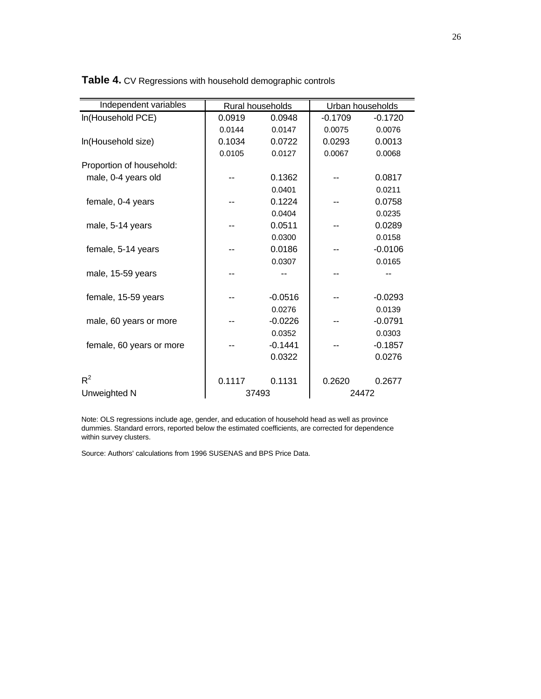| Independent variables    |        | Rural households | Urban households |           |  |
|--------------------------|--------|------------------|------------------|-----------|--|
| In(Household PCE)        | 0.0919 | 0.0948           | $-0.1709$        | $-0.1720$ |  |
|                          | 0.0144 | 0.0147           | 0.0075           | 0.0076    |  |
| In(Household size)       | 0.1034 | 0.0722           | 0.0293           | 0.0013    |  |
|                          | 0.0105 | 0.0127           | 0.0067           | 0.0068    |  |
| Proportion of household: |        |                  |                  |           |  |
| male, 0-4 years old      |        | 0.1362           |                  | 0.0817    |  |
|                          |        | 0.0401           |                  | 0.0211    |  |
| female, 0-4 years        |        | 0.1224           |                  | 0.0758    |  |
|                          |        | 0.0404           |                  | 0.0235    |  |
| male, 5-14 years         |        | 0.0511           |                  | 0.0289    |  |
|                          |        | 0.0300           |                  | 0.0158    |  |
| female, 5-14 years       |        | 0.0186           |                  | $-0.0106$ |  |
|                          |        | 0.0307           |                  | 0.0165    |  |
| male, 15-59 years        |        |                  |                  |           |  |
|                          |        |                  |                  |           |  |
| female, 15-59 years      |        | $-0.0516$        |                  | $-0.0293$ |  |
|                          |        | 0.0276           |                  | 0.0139    |  |
| male, 60 years or more   |        | $-0.0226$        |                  | $-0.0791$ |  |
|                          |        | 0.0352           |                  | 0.0303    |  |
| female, 60 years or more |        | $-0.1441$        |                  | $-0.1857$ |  |
|                          |        | 0.0322           |                  | 0.0276    |  |
|                          |        |                  |                  |           |  |
| $R^2$                    | 0.1117 | 0.1131           | 0.2620           | 0.2677    |  |
| Unweighted N             |        | 37493            | 24472            |           |  |

**Table 4.** CV Regressions with household demographic controls

Note: OLS regressions include age, gender, and education of household head as well as province dummies. Standard errors, reported below the estimated coefficients, are corrected for dependence within survey clusters.

Source: Authors' calculations from 1996 SUSENAS and BPS Price Data.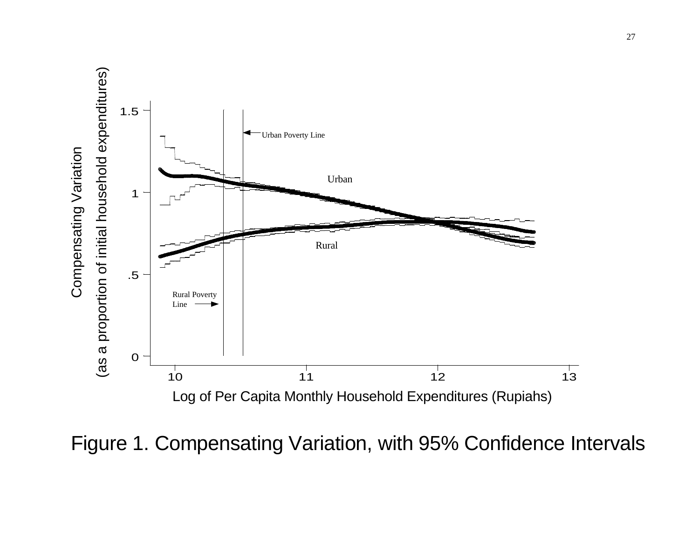

Figure 1. Compensating Variation, with 95% Confidence Intervals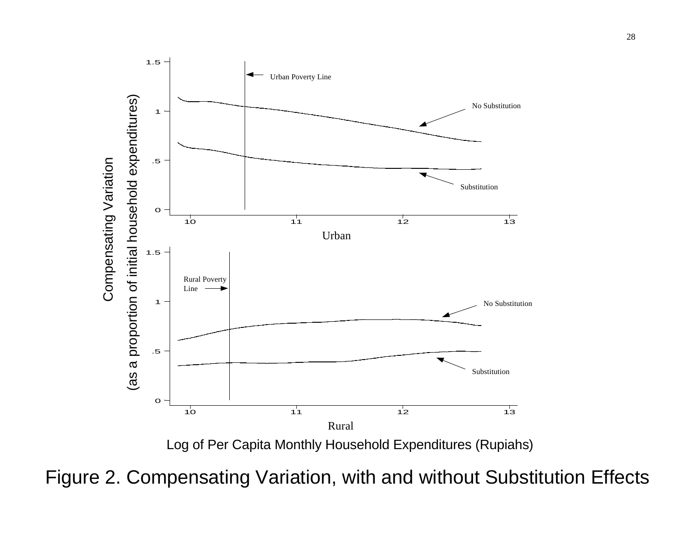

Log of Per Capita Monthly Household Expenditures (Rupiahs)

Figure 2. Compensating Variation, with and without Substitution Effects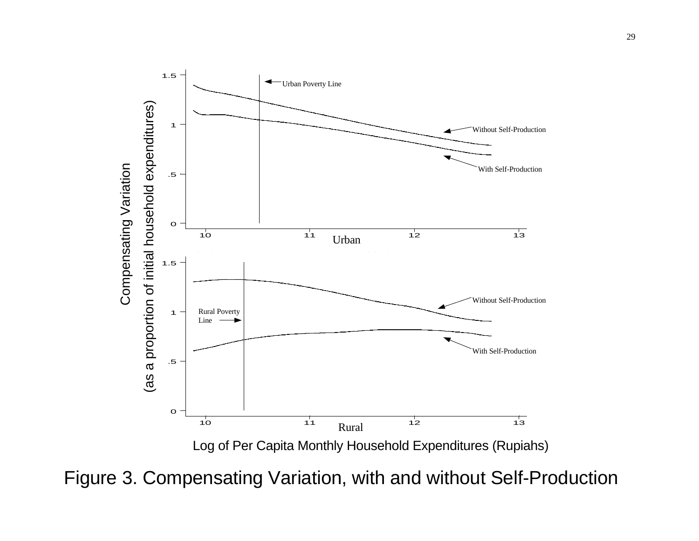

Figure 3. Compensating Variation, with and without Self-Production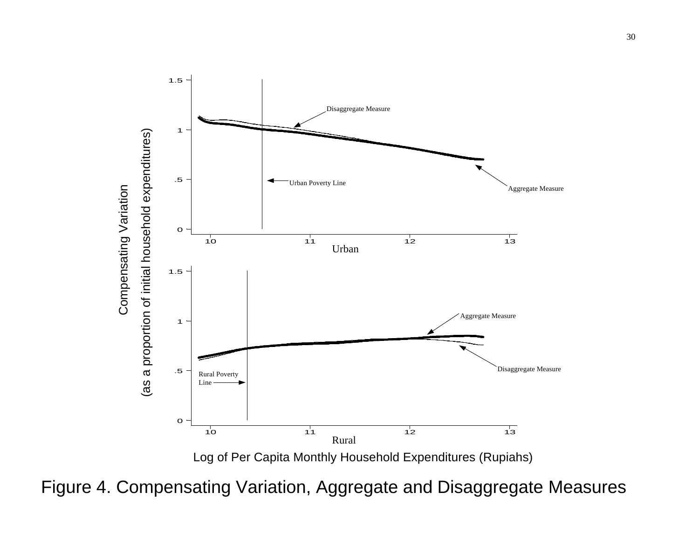

Figure 4. Compensating Variation, Aggregate and Disaggregate Measures